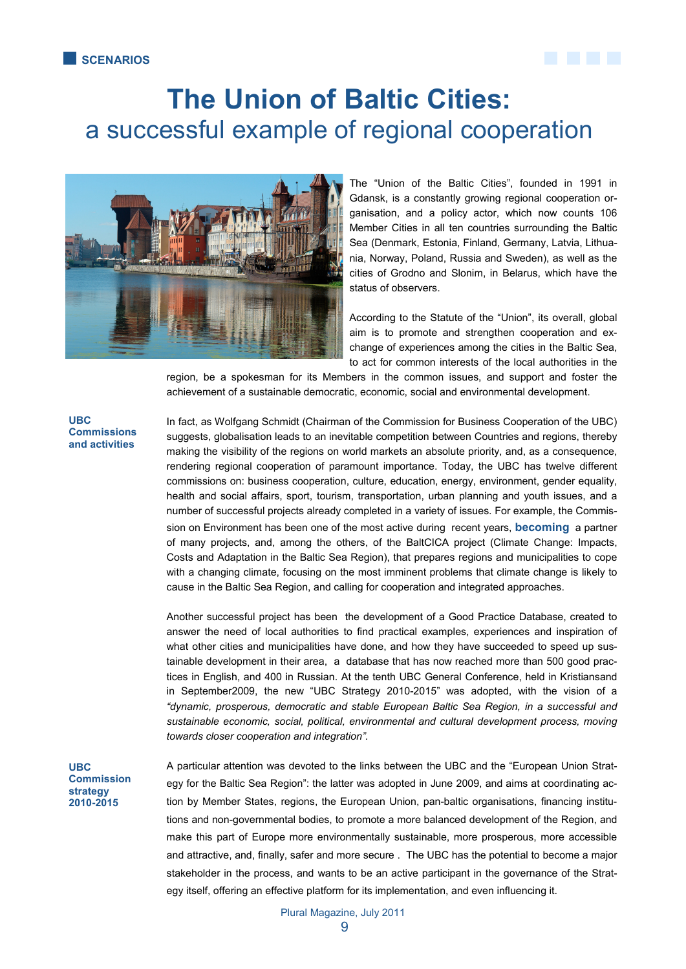

# **The Union of Baltic Cities:**  a successful example of regional cooperation



The "Union of the Baltic Cities", founded in 1991 in Gdansk, is a constantly growing regional cooperation organisation, and a policy actor, which now counts 106 Member Cities in all ten countries surrounding the Baltic Sea (Denmark, Estonia, Finland, Germany, Latvia, Lithuania, Norway, Poland, Russia and Sweden), as well as the cities of Grodno and Slonim, in Belarus, which have the status of observers.

According to the Statute of the "Union", its overall, global aim is to promote and strengthen cooperation and exchange of experiences among the cities in the Baltic Sea, to act for common interests of the local authorities in the

region, be a spokesman for its Members in the common issues, and support and foster the achievement of a sustainable democratic, economic, social and environmental development.

### **UBC Commissions and activities**

In fact, as Wolfgang Schmidt (Chairman of the Commission for Business Cooperation of the UBC) suggests, globalisation leads to an inevitable competition between Countries and regions, thereby making the visibility of the regions on world markets an absolute priority, and, as a consequence, rendering regional cooperation of paramount importance. Today, the UBC has twelve different commissions on: business cooperation, culture, education, energy, environment, gender equality, health and social affairs, sport, tourism, transportation, urban planning and youth issues, and a number of successful projects already completed in a variety of issues. For example, the Commission on Environment has been one of the most active during recent years, **becoming** a partner of many projects, and, among the others, of the BaltCICA project (Climate Change: Impacts, Costs and Adaptation in the Baltic Sea Region), that prepares regions and municipalities to cope with a changing climate, focusing on the most imminent problems that climate change is likely to cause in the Baltic Sea Region, and calling for cooperation and integrated approaches.

Another successful project has been the development of a Good Practice Database, created to answer the need of local authorities to find practical examples, experiences and inspiration of what other cities and municipalities have done, and how they have succeeded to speed up sustainable development in their area, a database that has now reached more than 500 good practices in English, and 400 in Russian. At the tenth UBC General Conference, held in Kristiansand in September2009, the new "UBC Strategy 2010-2015" was adopted, with the vision of a *"dynamic, prosperous, democratic and stable European Baltic Sea Region, in a successful and sustainable economic, social, political, environmental and cultural development process, moving towards closer cooperation and integration".* 

**UBC Commission strategy 2010-2015** 

A particular attention was devoted to the links between the UBC and the "European Union Strategy for the Baltic Sea Region": the latter was adopted in June 2009, and aims at coordinating action by Member States, regions, the European Union, pan-baltic organisations, financing institutions and non-governmental bodies, to promote a more balanced development of the Region, and make this part of Europe more environmentally sustainable, more prosperous, more accessible and attractive, and, finally, safer and more secure . The UBC has the potential to become a major stakeholder in the process, and wants to be an active participant in the governance of the Strategy itself, offering an effective platform for its implementation, and even influencing it.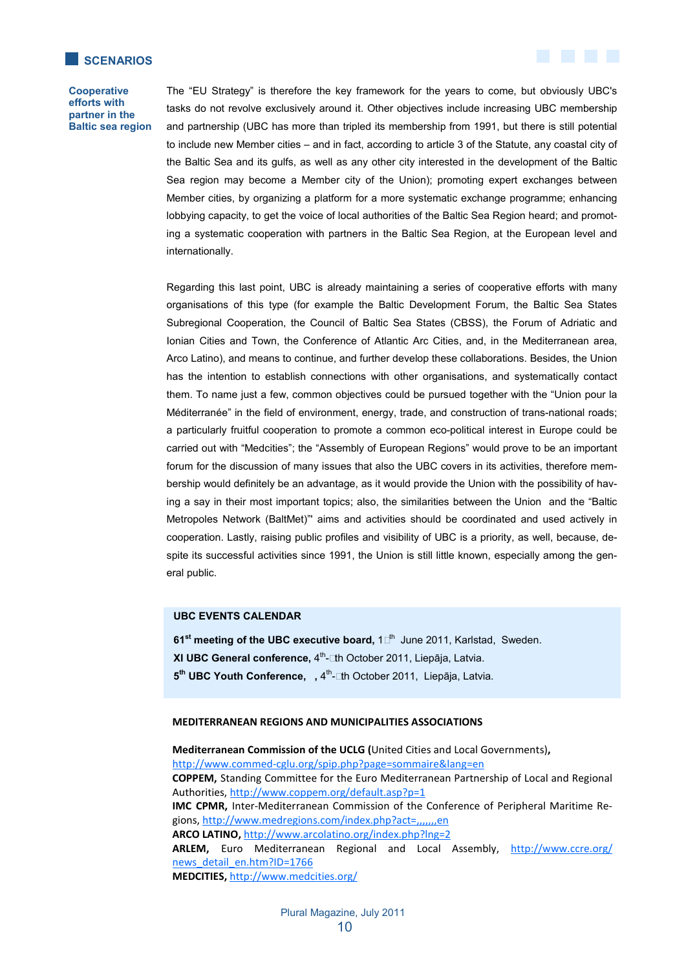



The "EU Strategy" is therefore the key framework for the years to come, but obviously UBC's tasks do not revolve exclusively around it. Other objectives include increasing UBC membership and partnership (UBC has more than tripled its membership from 1991, but there is still potential to include new Member cities – and in fact, according to article 3 of the Statute, any coastal city of the Baltic Sea and its gulfs, as well as any other city interested in the development of the Baltic Sea region may become a Member city of the Union); promoting expert exchanges between Member cities, by organizing a platform for a more systematic exchange programme; enhancing lobbying capacity, to get the voice of local authorities of the Baltic Sea Region heard; and promoting a systematic cooperation with partners in the Baltic Sea Region, at the European level and internationally.

Regarding this last point, UBC is already maintaining a series of cooperative efforts with many organisations of this type (for example the Baltic Development Forum, the Baltic Sea States Subregional Cooperation, the Council of Baltic Sea States (CBSS), the Forum of Adriatic and Ionian Cities and Town, the Conference of Atlantic Arc Cities, and, in the Mediterranean area, Arco Latino), and means to continue, and further develop these collaborations. Besides, the Union has the intention to establish connections with other organisations, and systematically contact them. To name just a few, common objectives could be pursued together with the "Union pour la Méditerranée" in the field of environment, energy, trade, and construction of trans-national roads; a particularly fruitful cooperation to promote a common eco-political interest in Europe could be carried out with "Medcities"; the "Assembly of European Regions" would prove to be an important forum for the discussion of many issues that also the UBC covers in its activities, therefore membership would definitely be an advantage, as it would provide the Union with the possibility of having a say in their most important topics; also, the similarities between the Union and the "Baltic Metropoles Network (BaltMet)"' aims and activities should be coordinated and used actively in cooperation. Lastly, raising public profiles and visibility of UBC is a priority, as well, because, despite its successful activities since 1991, the Union is still little known, especially among the general public.

# **UBC EVENTS CALENDAR**

**61<sup>st</sup> meeting of the UBC executive board, 1<sup>th</sup> June 2011, Karlstad, Sweden.** 

- **XI UBC General conference, 4<sup>th</sup>-**Lth October 2011, Liepāja, Latvia.
- **5<sup>th</sup> UBC Youth Conference,**, 4<sup>th</sup>-Lth October 2011, Liepāja, Latvia.

#### **MEDITERRANEAN REGIONS AND MUNICIPALITIES ASSOCIATIONS**

Mediterranean Commission of the UCLG (United Cities and Local Governments),  $http://www.commed-cglu.org/spip.php?page=sommaire⟨=en$ </u> COPPEM, Standing Committee for the Euro Mediterranean Partnership of Local and Regional Authorities, http://www.coppem.org/default.asp?p=1 IMC CPMR, Inter-Mediterranean Commission of the Conference of Peripheral Maritime Regions, http://www.medregions.com/index.php?act=,,,,,,en ARCO LATINO, http://www.arcolatino.org/index.php?lng=2 ARLEM, Euro Mediterranean Regional and Local Assembly, http://www.ccre.org/ news detail en.htm?ID=1766 **MEDCITIES, http://www.medcities.org/**